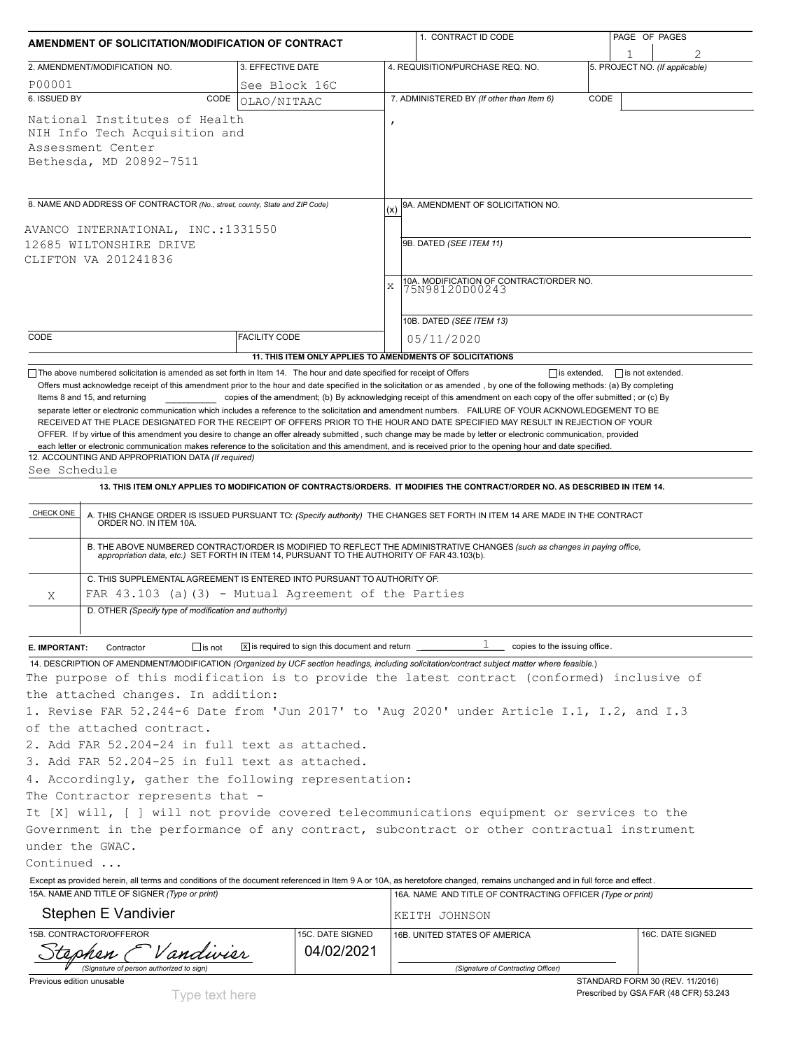| AMENDMENT OF SOLICITATION/MODIFICATION OF CONTRACT                                    |                                                                                                                                                           |                      |                                                                    |              | 1. CONTRACT ID CODE                                                                                                                                                                                                                                                                                                                                                                                                                                                               |      | PAGE OF PAGES                  |  |  |
|---------------------------------------------------------------------------------------|-----------------------------------------------------------------------------------------------------------------------------------------------------------|----------------------|--------------------------------------------------------------------|--------------|-----------------------------------------------------------------------------------------------------------------------------------------------------------------------------------------------------------------------------------------------------------------------------------------------------------------------------------------------------------------------------------------------------------------------------------------------------------------------------------|------|--------------------------------|--|--|
|                                                                                       |                                                                                                                                                           |                      |                                                                    |              |                                                                                                                                                                                                                                                                                                                                                                                                                                                                                   |      |                                |  |  |
|                                                                                       | 2. AMENDMENT/MODIFICATION NO.                                                                                                                             | 3. EFFECTIVE DATE    |                                                                    |              | 4. REQUISITION/PURCHASE REQ. NO.                                                                                                                                                                                                                                                                                                                                                                                                                                                  |      | 5. PROJECT NO. (If applicable) |  |  |
| P00001                                                                                |                                                                                                                                                           | See Block 16C        |                                                                    |              |                                                                                                                                                                                                                                                                                                                                                                                                                                                                                   |      |                                |  |  |
| 6. ISSUED BY                                                                          | CODE                                                                                                                                                      | OLAO/NITAAC          |                                                                    |              | 7. ADMINISTERED BY (If other than Item 6)                                                                                                                                                                                                                                                                                                                                                                                                                                         | CODE |                                |  |  |
|                                                                                       | National Institutes of Health<br>NIH Info Tech Acquisition and<br>Assessment Center<br>Bethesda, MD 20892-7511                                            |                      |                                                                    | $\mathbf{r}$ |                                                                                                                                                                                                                                                                                                                                                                                                                                                                                   |      |                                |  |  |
|                                                                                       | 8. NAME AND ADDRESS OF CONTRACTOR (No., street, county, State and ZIP Code)                                                                               |                      |                                                                    |              | 9A. AMENDMENT OF SOLICITATION NO.                                                                                                                                                                                                                                                                                                                                                                                                                                                 |      |                                |  |  |
| AVANCO INTERNATIONAL, INC.:1331550<br>12685 WILTONSHIRE DRIVE<br>CLIFTON VA 201241836 |                                                                                                                                                           |                      |                                                                    |              | 9B. DATED (SEE ITEM 11)                                                                                                                                                                                                                                                                                                                                                                                                                                                           |      |                                |  |  |
|                                                                                       |                                                                                                                                                           |                      |                                                                    | X            | 10A. MODIFICATION OF CONTRACT/ORDER NO.<br>75N98120D00243                                                                                                                                                                                                                                                                                                                                                                                                                         |      |                                |  |  |
|                                                                                       |                                                                                                                                                           |                      |                                                                    |              | 10B. DATED (SEE ITEM 13)                                                                                                                                                                                                                                                                                                                                                                                                                                                          |      |                                |  |  |
| CODE                                                                                  |                                                                                                                                                           | <b>FACILITY CODE</b> |                                                                    |              | 05/11/2020                                                                                                                                                                                                                                                                                                                                                                                                                                                                        |      |                                |  |  |
|                                                                                       |                                                                                                                                                           |                      |                                                                    |              | 11. THIS ITEM ONLY APPLIES TO AMENDMENTS OF SOLICITATIONS                                                                                                                                                                                                                                                                                                                                                                                                                         |      |                                |  |  |
| See Schedule<br>CHECK ONE                                                             | 12. ACCOUNTING AND APPROPRIATION DATA (If required)<br>ORDER NO. IN ITEM 10A.<br>C. THIS SUPPLEMENTAL AGREEMENT IS ENTERED INTO PURSUANT TO AUTHORITY OF: |                      |                                                                    |              | 13. THIS ITEM ONLY APPLIES TO MODIFICATION OF CONTRACTS/ORDERS. IT MODIFIES THE CONTRACT/ORDER NO. AS DESCRIBED IN ITEM 14.<br>A. THIS CHANGE ORDER IS ISSUED PURSUANT TO: (Specify authority) THE CHANGES SET FORTH IN ITEM 14 ARE MADE IN THE CONTRACT<br>B. THE ABOVE NUMBERED CONTRACT/ORDER IS MODIFIED TO REFLECT THE ADMINISTRATIVE CHANGES (such as changes in paying office, appropriation data, etc.) SET FORTH IN ITEM 14, PURSUANT TO THE AUTHORITY OF FAR 43.103(b). |      |                                |  |  |
| Χ                                                                                     | FAR $43.103$ (a) $(3)$ - Mutual Agreement of the Parties                                                                                                  |                      |                                                                    |              |                                                                                                                                                                                                                                                                                                                                                                                                                                                                                   |      |                                |  |  |
|                                                                                       | D. OTHER (Specify type of modification and authority)                                                                                                     |                      |                                                                    |              |                                                                                                                                                                                                                                                                                                                                                                                                                                                                                   |      |                                |  |  |
|                                                                                       |                                                                                                                                                           |                      |                                                                    |              |                                                                                                                                                                                                                                                                                                                                                                                                                                                                                   |      |                                |  |  |
| E. IMPORTANT:                                                                         | $\Box$ is not<br>Contractor                                                                                                                               |                      | $ \mathbf{x} $ is required to sign this document and return $\Box$ |              | 1<br>copies to the issuing office.                                                                                                                                                                                                                                                                                                                                                                                                                                                |      |                                |  |  |
|                                                                                       | the attached changes. In addition:                                                                                                                        |                      |                                                                    |              | 14. DESCRIPTION OF AMENDMENT/MODIFICATION (Organized by UCF section headings, including solicitation/contract subject matter where feasible.)<br>The purpose of this modification is to provide the latest contract (conformed) inclusive of<br>1. Revise FAR 52.244-6 Date from 'Jun 2017' to 'Aug 2020' under Article I.1, I.2, and I.3                                                                                                                                         |      |                                |  |  |
|                                                                                       | of the attached contract.                                                                                                                                 |                      |                                                                    |              |                                                                                                                                                                                                                                                                                                                                                                                                                                                                                   |      |                                |  |  |
|                                                                                       | 2. Add FAR 52.204-24 in full text as attached.                                                                                                            |                      |                                                                    |              |                                                                                                                                                                                                                                                                                                                                                                                                                                                                                   |      |                                |  |  |
|                                                                                       | 3. Add FAR 52.204-25 in full text as attached.                                                                                                            |                      |                                                                    |              |                                                                                                                                                                                                                                                                                                                                                                                                                                                                                   |      |                                |  |  |
|                                                                                       | 4. Accordingly, gather the following representation:                                                                                                      |                      |                                                                    |              |                                                                                                                                                                                                                                                                                                                                                                                                                                                                                   |      |                                |  |  |
|                                                                                       | The Contractor represents that -                                                                                                                          |                      |                                                                    |              |                                                                                                                                                                                                                                                                                                                                                                                                                                                                                   |      |                                |  |  |
|                                                                                       |                                                                                                                                                           |                      |                                                                    |              | It [X] will, [ ] will not provide covered telecommunications equipment or services to the                                                                                                                                                                                                                                                                                                                                                                                         |      |                                |  |  |
|                                                                                       |                                                                                                                                                           |                      |                                                                    |              | Government in the performance of any contract, subcontract or other contractual instrument                                                                                                                                                                                                                                                                                                                                                                                        |      |                                |  |  |
| under the GWAC.                                                                       |                                                                                                                                                           |                      |                                                                    |              |                                                                                                                                                                                                                                                                                                                                                                                                                                                                                   |      |                                |  |  |
| Continued                                                                             |                                                                                                                                                           |                      |                                                                    |              |                                                                                                                                                                                                                                                                                                                                                                                                                                                                                   |      |                                |  |  |
|                                                                                       |                                                                                                                                                           |                      |                                                                    |              | Except as provided herein, all terms and conditions of the document referenced in Item 9 A or 10A, as heretofore changed, remains unchanged and in full force and effect.                                                                                                                                                                                                                                                                                                         |      |                                |  |  |
|                                                                                       | 15A. NAME AND TITLE OF SIGNER (Type or print)                                                                                                             |                      |                                                                    |              | 16A. NAME AND TITLE OF CONTRACTING OFFICER (Type or print)                                                                                                                                                                                                                                                                                                                                                                                                                        |      |                                |  |  |
|                                                                                       | Stephen E Vandivier                                                                                                                                       |                      |                                                                    |              | KEITH JOHNSON                                                                                                                                                                                                                                                                                                                                                                                                                                                                     |      |                                |  |  |
|                                                                                       | 15B. CONTRACTOR/OFFEROR<br>andivier                                                                                                                       |                      | 15C. DATE SIGNED<br>04/02/2021                                     |              | 16B. UNITED STATES OF AMERICA                                                                                                                                                                                                                                                                                                                                                                                                                                                     |      | 16C. DATE SIGNED               |  |  |
|                                                                                       | (Signature of person authorized to sign)                                                                                                                  |                      |                                                                    |              | (Signature of Contracting Officer)                                                                                                                                                                                                                                                                                                                                                                                                                                                |      |                                |  |  |

Previous edition unusable

STANDARD FORM 30 (REV. 11/2016) Prescribed by GSA FAR (48 CFR) 53.243